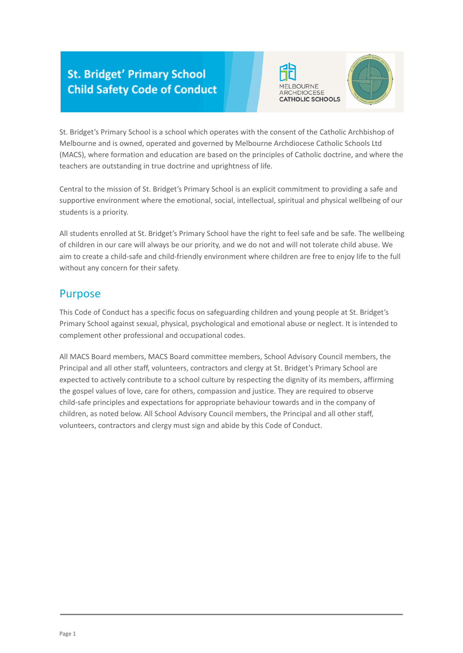## **St. Bridget' Primary School Child Safety Code of Conduct**





St. Bridget's Primary School is a school which operates with the consent of the Catholic Archbishop of Melbourne and is owned, operated and governed by Melbourne Archdiocese Catholic Schools Ltd (MACS), where formation and education are based on the principles of Catholic doctrine, and where the teachers are outstanding in true doctrine and uprightness of life.

Central to the mission of St. Bridget's Primary School is an explicit commitment to providing a safe and supportive environment where the emotional, social, intellectual, spiritual and physical wellbeing of our students is a priority.

All students enrolled at St. Bridget's Primary School have the right to feel safe and be safe. The wellbeing of children in our care will always be our priority, and we do not and will not tolerate child abuse. We aim to create a child-safe and child-friendly environment where children are free to enjoy life to the full without any concern for their safety.

### Purpose

This Code of Conduct has a specific focus on safeguarding children and young people at St. Bridget's Primary School against sexual, physical, psychological and emotional abuse or neglect. It is intended to complement other professional and occupational codes.

All MACS Board members, MACS Board committee members, School Advisory Council members, the Principal and all other staff, volunteers, contractors and clergy at St. Bridget's Primary School are expected to actively contribute to a school culture by respecting the dignity of its members, affirming the gospel values of love, care for others, compassion and justice. They are required to observe child-safe principles and expectations for appropriate behaviour towards and in the company of children, as noted below. All School Advisory Council members, the Principal and all other staff, volunteers, contractors and clergy must sign and abide by this Code of Conduct.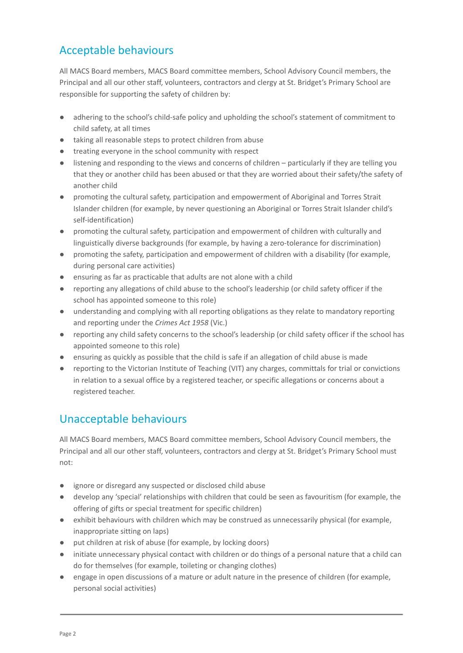# Acceptable behaviours

All MACS Board members, MACS Board committee members, School Advisory Council members, the Principal and all our other staff, volunteers, contractors and clergy at St. Bridget's Primary School are responsible for supporting the safety of children by:

- adhering to the school's child-safe policy and upholding the school's statement of commitment to child safety, at all times
- taking all reasonable steps to protect children from abuse
- treating everyone in the school community with respect
- listening and responding to the views and concerns of children particularly if they are telling you that they or another child has been abused or that they are worried about their safety/the safety of another child
- promoting the cultural safety, participation and empowerment of Aboriginal and Torres Strait Islander children (for example, by never questioning an Aboriginal or Torres Strait Islander child's self-identification)
- promoting the cultural safety, participation and empowerment of children with culturally and linguistically diverse backgrounds (for example, by having a zero-tolerance for discrimination)
- promoting the safety, participation and empowerment of children with a disability (for example, during personal care activities)
- ensuring as far as practicable that adults are not alone with a child
- reporting any allegations of child abuse to the school's leadership (or child safety officer if the school has appointed someone to this role)
- understanding and complying with all reporting obligations as they relate to mandatory reporting and reporting under the *Crimes Act 1958* (Vic.)
- reporting any child safety concerns to the school's leadership (or child safety officer if the school has appointed someone to this role)
- ensuring as quickly as possible that the child is safe if an allegation of child abuse is made
- reporting to the Victorian Institute of Teaching (VIT) any charges, committals for trial or convictions in relation to a sexual office by a registered teacher, or specific allegations or concerns about a registered teacher.

## Unacceptable behaviours

All MACS Board members, MACS Board committee members, School Advisory Council members, the Principal and all our other staff, volunteers, contractors and clergy at St. Bridget's Primary School must not:

- ignore or disregard any suspected or disclosed child abuse
- develop any 'special' relationships with children that could be seen as favouritism (for example, the offering of gifts or special treatment for specific children)
- exhibit behaviours with children which may be construed as unnecessarily physical (for example, inappropriate sitting on laps)
- put children at risk of abuse (for example, by locking doors)
- initiate unnecessary physical contact with children or do things of a personal nature that a child can do for themselves (for example, toileting or changing clothes)
- engage in open discussions of a mature or adult nature in the presence of children (for example, personal social activities)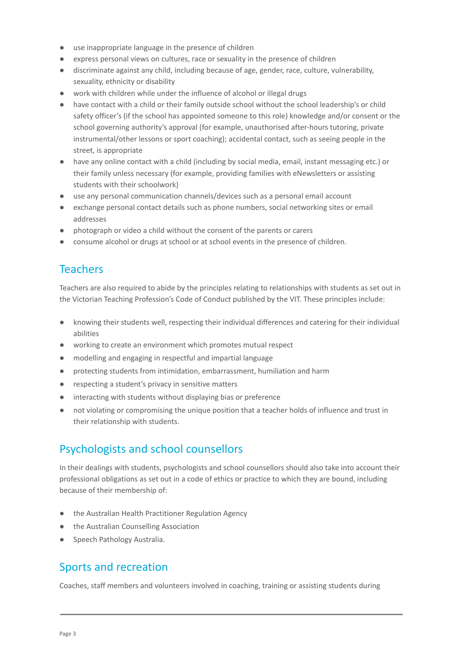- use inappropriate language in the presence of children
- express personal views on cultures, race or sexuality in the presence of children
- discriminate against any child, including because of age, gender, race, culture, vulnerability, sexuality, ethnicity or disability
- work with children while under the influence of alcohol or illegal drugs
- have contact with a child or their family outside school without the school leadership's or child safety officer's (if the school has appointed someone to this role) knowledge and/or consent or the school governing authority's approval (for example, unauthorised after-hours tutoring, private instrumental/other lessons or sport coaching); accidental contact, such as seeing people in the street, is appropriate
- have any online contact with a child (including by social media, email, instant messaging etc.) or their family unless necessary (for example, providing families with eNewsletters or assisting students with their schoolwork)
- use any personal communication channels/devices such as a personal email account
- exchange personal contact details such as phone numbers, social networking sites or email addresses
- photograph or video a child without the consent of the parents or carers
- consume alcohol or drugs at school or at school events in the presence of children.

### **Teachers**

Teachers are also required to abide by the principles relating to relationships with students as set out in the Victorian Teaching Profession's Code of Conduct published by the VIT. These principles include:

- knowing their students well, respecting their individual differences and catering for their individual abilities
- working to create an environment which promotes mutual respect
- modelling and engaging in respectful and impartial language
- protecting students from intimidation, embarrassment, humiliation and harm
- respecting a student's privacy in sensitive matters
- interacting with students without displaying bias or preference
- not violating or compromising the unique position that a teacher holds of influence and trust in their relationship with students.

### Psychologists and school counsellors

In their dealings with students, psychologists and school counsellors should also take into account their professional obligations as set out in a code of ethics or practice to which they are bound, including because of their membership of:

- the Australian Health Practitioner Regulation Agency
- the Australian Counselling Association
- Speech Pathology Australia.

#### Sports and recreation

Coaches, staff members and volunteers involved in coaching, training or assisting students during